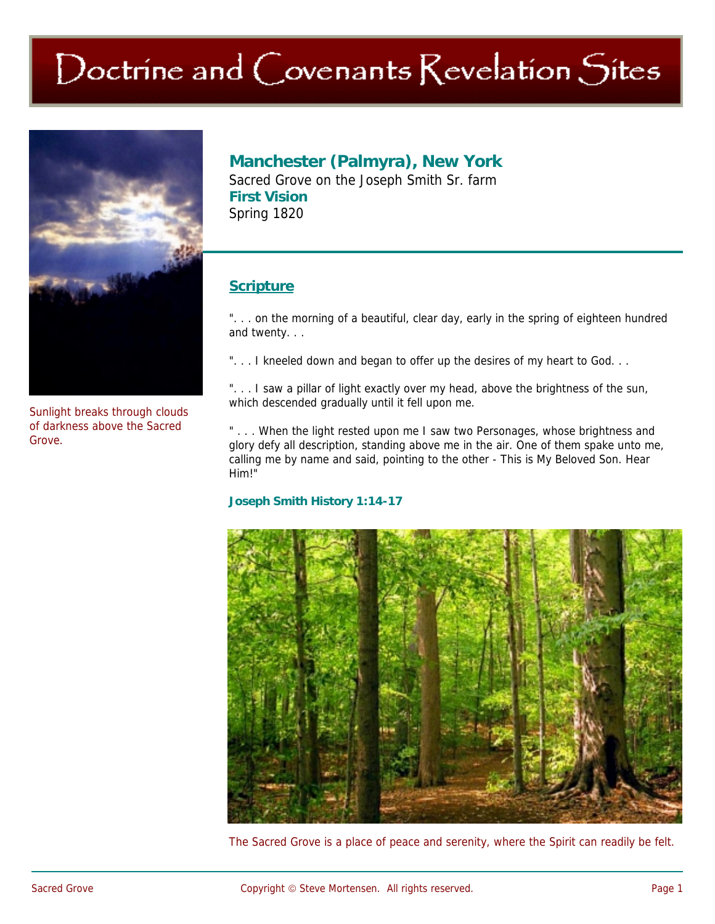# Doctrine and Covenants Revelation Sites



Sunlight breaks through clouds of darkness above the Sacred Grove.

## **Manchester (Palmyra), New York**

Sacred Grove on the Joseph Smith Sr. farm **First Vision**  Spring 1820

## **Scripture**

". . . on the morning of a beautiful, clear day, early in the spring of eighteen hundred and twenty. . .

"... I kneeled down and began to offer up the desires of my heart to God...

". . . I saw a pillar of light exactly over my head, above the brightness of the sun, which descended gradually until it fell upon me.

" . . . When the light rested upon me I saw two Personages, whose brightness and glory defy all description, standing above me in the air. One of them spake unto me, calling me by name and said, pointing to the other - This is My Beloved Son. Hear Him!"

#### **Joseph Smith History 1:14-17**



The Sacred Grove is a place of peace and serenity, where the Spirit can readily be felt.